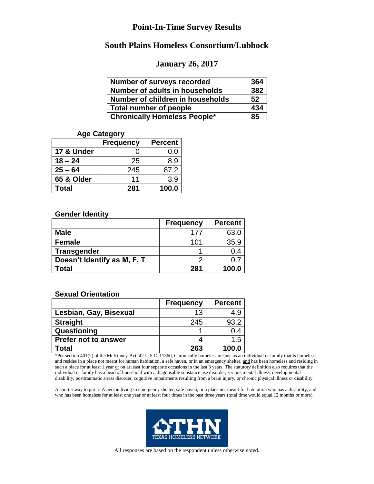### **South Plains Homeless Consortium/Lubbock**

#### **January 26, 2017**

| Number of surveys recorded          | 364 |
|-------------------------------------|-----|
| Number of adults in households      | 382 |
| Number of children in households    | 52  |
| Total number of people              | 434 |
| <b>Chronically Homeless People*</b> | 85  |

#### **Age Category**

|            | <b>Frequency</b> | <b>Percent</b> |
|------------|------------------|----------------|
| 17 & Under |                  | 0.0            |
| $18 - 24$  | 25               | 8.9            |
| $25 - 64$  | 245              | 87.2           |
| 65 & Older | 11               | 3.9            |
| Total      | 281              | 100.0          |

#### **Gender Identity**

|                             | <b>Frequency</b> | <b>Percent</b> |
|-----------------------------|------------------|----------------|
| <b>Male</b>                 | 177              | 63.0           |
| <b>Female</b>               | 101              | 35.9           |
| <b>Transgender</b>          |                  | 0.4            |
| Doesn't Identify as M, F, T | ⌒                | ∩ 7            |
| Total                       | 281              | 100.0          |

#### **Sexual Orientation**

|                             | <b>Frequency</b> | <b>Percent</b> |
|-----------------------------|------------------|----------------|
| Lesbian, Gay, Bisexual      | 13               | 49             |
| <b>Straight</b>             | 245              | 93.2           |
| Questioning                 |                  | 0.4            |
| <b>Prefer not to answer</b> |                  | 1.5            |
| Total                       | 263              | 100.0          |

\*Per section 401(2) of the McKinney-Act, 42 U.S.C. 11360, Chronically homeless means: as an individual or family that is homeless and resides in a place not meant for human habitation, a safe haven, or in an emergency shelter, and has been homeless and residing in such a place for at least 1 year or on at least four separate occasions in the last 3 years. The statutory definition also requires that the individual or family has a head of household with a diagnosable substance use disorder, serious mental illness, developmental disability, posttraumatic stress disorder, cognitive impairments resulting from a brain injury, or chronic physical illness or disability.

A shorter way to put it: A person living in emergency shelter, safe haven, or a place not meant for habitation who has a disability, and who has been homeless for at least one year or at least four times in the past three years (total time would equal 12 months or more).

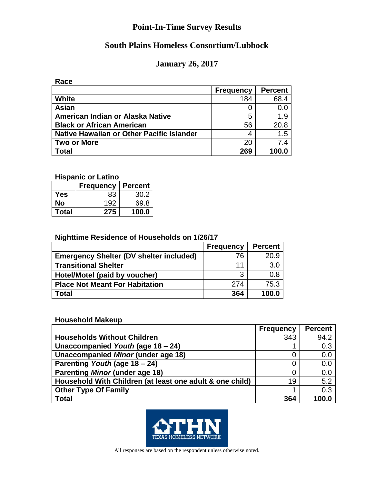# **South Plains Homeless Consortium/Lubbock**

# **January 26, 2017**

**Race**

|                                           | <b>Frequency</b> | <b>Percent</b> |
|-------------------------------------------|------------------|----------------|
| <b>White</b>                              | 184              | 68.4           |
| Asian                                     | Ω                | 0.0            |
| American Indian or Alaska Native          | 5                | 1.9            |
| <b>Black or African American</b>          | 56               | 20.8           |
| Native Hawaiian or Other Pacific Islander | 4                | 1.5            |
| <b>Two or More</b>                        | 20               | 7.4            |
| <b>Total</b>                              | 269              | 100.0          |

**Hispanic or Latino**

|              | <b>Frequency</b> | <b>Percent</b> |
|--------------|------------------|----------------|
| Yes          | 83               | 30.2           |
| No           | 192              | 69.8           |
| <b>Total</b> | 275              | 100.0          |

### **Nighttime Residence of Households on 1/26/17**

|                                                | <b>Frequency</b> | <b>Percent</b> |
|------------------------------------------------|------------------|----------------|
| <b>Emergency Shelter (DV shelter included)</b> | 76               | 20.9           |
| <b>Transitional Shelter</b>                    | 11               | 3.0            |
| Hotel/Motel (paid by voucher)                  | 3                | 0.8            |
| <b>Place Not Meant For Habitation</b>          | 274              | 75.3           |
| Total                                          | 364              | 100.0          |

#### **Household Makeup**

|                                                          | <b>Frequency</b> | <b>Percent</b> |
|----------------------------------------------------------|------------------|----------------|
| <b>Households Without Children</b>                       | 343              | 94.2           |
| Unaccompanied Youth (age 18 – 24)                        |                  | 0.3            |
| <b>Unaccompanied Minor (under age 18)</b>                |                  | 0.0            |
| Parenting Youth (age 18 - 24)                            |                  | 0.0            |
| <b>Parenting Minor (under age 18)</b>                    |                  | 0.0            |
| Household With Children (at least one adult & one child) | 19               | 5.2            |
| <b>Other Type Of Family</b>                              |                  | 0.3            |
| <b>Total</b>                                             | 364              | 100.0          |

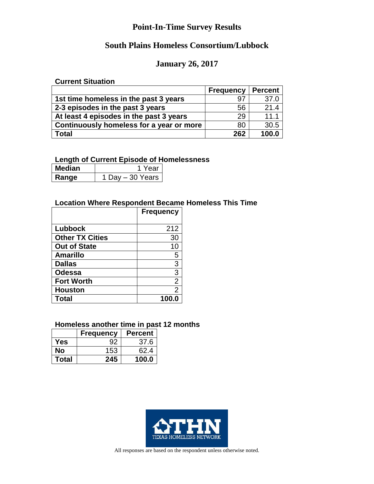# **South Plains Homeless Consortium/Lubbock**

### **January 26, 2017**

#### **Current Situation**

|                                          | <b>Frequency   Percent</b> |       |
|------------------------------------------|----------------------------|-------|
| 1st time homeless in the past 3 years    | 97                         | 37.0  |
| 2-3 episodes in the past 3 years         | 56                         | 21.4  |
| At least 4 episodes in the past 3 years  | 29                         | 11.1  |
| Continuously homeless for a year or more | 80                         | 30.5  |
| <b>Total</b>                             | 262                        | 100.0 |

### **Length of Current Episode of Homelessness**

| ∣ Median | 1 Year             |
|----------|--------------------|
| ∣ Ranɑe  | 1 Dav - 30 Years I |

### **Location Where Respondent Became Homeless This Time**

|                        | <b>Frequency</b> |
|------------------------|------------------|
|                        |                  |
| Lubbock                | 212              |
| <b>Other TX Cities</b> | 30               |
| <b>Out of State</b>    | 10               |
| <b>Amarillo</b>        | 5                |
| <b>Dallas</b>          | 3                |
| <b>Odessa</b>          | 3                |
| <b>Fort Worth</b>      | $\overline{2}$   |
| <b>Houston</b>         | 2                |
| <b>Total</b>           |                  |

### **Homeless another time in past 12 months**

|       | <b>Frequency</b> | <b>Percent</b> |
|-------|------------------|----------------|
| Yes   |                  | 37.6           |
| No    | 153              | 62.4           |
| Total | 245              | 100.0          |

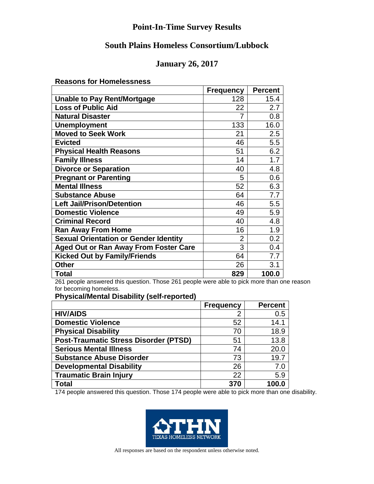# **South Plains Homeless Consortium/Lubbock**

# **January 26, 2017**

**Reasons for Homelessness** 

|                                              | <b>Frequency</b> | <b>Percent</b> |
|----------------------------------------------|------------------|----------------|
| <b>Unable to Pay Rent/Mortgage</b>           | 128              | 15.4           |
| <b>Loss of Public Aid</b>                    | 22               | 2.7            |
| <b>Natural Disaster</b>                      | 7                | 0.8            |
| <b>Unemployment</b>                          | 133              | 16.0           |
| <b>Moved to Seek Work</b>                    | 21               | 2.5            |
| <b>Evicted</b>                               | 46               | 5.5            |
| <b>Physical Health Reasons</b>               | 51               | 6.2            |
| <b>Family Illness</b>                        | 14               | 1.7            |
| <b>Divorce or Separation</b>                 | 40               | 4.8            |
| <b>Pregnant or Parenting</b>                 | 5                | 0.6            |
| <b>Mental Illness</b>                        | 52               | 6.3            |
| <b>Substance Abuse</b>                       | 64               | 7.7            |
| <b>Left Jail/Prison/Detention</b>            | 46               | 5.5            |
| <b>Domestic Violence</b>                     | 49               | 5.9            |
| <b>Criminal Record</b>                       | 40               | 4.8            |
| <b>Ran Away From Home</b>                    | 16               | 1.9            |
| <b>Sexual Orientation or Gender Identity</b> | $\overline{2}$   | 0.2            |
| <b>Aged Out or Ran Away From Foster Care</b> | 3                | 0.4            |
| <b>Kicked Out by Family/Friends</b>          | 64               | 7.7            |
| <b>Other</b>                                 | 26               | 3.1            |
| <b>Total</b>                                 | 829              | 100.0          |

261 people answered this question. Those 261 people were able to pick more than one reason for becoming homeless.

**Physical/Mental Disability (self-reported)**

|                                              | <b>Frequency</b> | <b>Percent</b> |
|----------------------------------------------|------------------|----------------|
| <b>HIV/AIDS</b>                              |                  | 0.5            |
| <b>Domestic Violence</b>                     | 52               | 14.1           |
| <b>Physical Disability</b>                   | 70               | 18.9           |
| <b>Post-Traumatic Stress Disorder (PTSD)</b> | 51               | 13.8           |
| <b>Serious Mental Illness</b>                | 74               | 20.0           |
| <b>Substance Abuse Disorder</b>              | 73               | 19.7           |
| <b>Developmental Disability</b>              | 26               | 7.0            |
| <b>Traumatic Brain Injury</b>                | 22               | 5.9            |
| <b>Total</b>                                 | 370              | 100.0          |

174 people answered this question. Those 174 people were able to pick more than one disability.

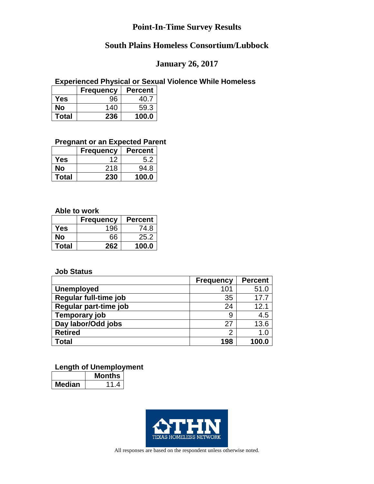# **South Plains Homeless Consortium/Lubbock**

## **January 26, 2017**

#### **Experienced Physical or Sexual Violence While Homeless**

|              | <b>Frequency</b> | <b>Percent</b> |
|--------------|------------------|----------------|
| Yes          | 96               | 40.7           |
| No           | 140              | 59.3           |
| <b>Total</b> | 236              | 100.0          |

#### **Pregnant or an Expected Parent**

|              | <b>Frequency</b> | <b>Percent</b> |
|--------------|------------------|----------------|
| Yes          | 12               | 5.2            |
| No           | 218              | 94.8           |
| <b>Total</b> | 230              | 100.0          |

#### **Able to work**

|              | <b>Frequency</b> | <b>Percent</b> |
|--------------|------------------|----------------|
| Yes          | 196              | 74.8           |
| No           | 66               | 25.2           |
| <b>Total</b> | 262              | 100.0          |

#### **Job Status**

|                       | <b>Frequency</b> | <b>Percent</b> |
|-----------------------|------------------|----------------|
| <b>Unemployed</b>     | 101              | 51.0           |
| Regular full-time job | 35               | 17.7           |
| Regular part-time job | 24               | 12.1           |
| Temporary job         | 9                | 4.5            |
| Day labor/Odd jobs    | 27               | 13.6           |
| <b>Retired</b>        | ◠                | 1.0            |
| Total                 | 198              | 100.0          |

#### **Length of Unemployment**

|       | <b>1onths</b> |
|-------|---------------|
| edian |               |

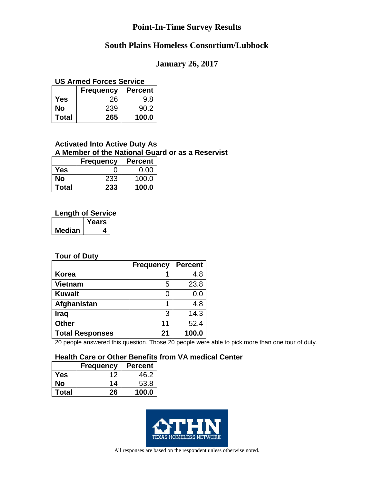# **South Plains Homeless Consortium/Lubbock**

#### **January 26, 2017**

#### **US Armed Forces Service**

|              | <b>Frequency</b> | <b>Percent</b> |
|--------------|------------------|----------------|
| Yes          | 26               | 9.8            |
| No           | 239              | 90.2           |
| <b>Total</b> | 265              | 100.0          |

#### **Activated Into Active Duty As A Member of the National Guard or as a Reservist**

|              | <b>Frequency</b> | <b>Percent</b> |
|--------------|------------------|----------------|
| Yes          |                  | 0.00           |
| No           | 233              | 100.0          |
| <b>Total</b> | 233              | 100.0          |

#### **Length of Service**

|        | ears' |
|--------|-------|
| ledian |       |

#### **Tour of Duty**

|                        | <b>Frequency</b> | <b>Percent</b> |
|------------------------|------------------|----------------|
| Korea                  |                  | 4.8            |
| <b>Vietnam</b>         | 5                | 23.8           |
| <b>Kuwait</b>          | O                | 0.0            |
| Afghanistan            |                  | 4.8            |
| <b>Iraq</b>            | 3                | 14.3           |
| <b>Other</b>           | 11               | 52.4           |
| <b>Total Responses</b> | 21               | 100.0          |

20 people answered this question. Those 20 people were able to pick more than one tour of duty.

#### **Health Care or Other Benefits from VA medical Center**

|              | <b>Frequency</b> | <b>Percent</b> |
|--------------|------------------|----------------|
| Yes          |                  | 46.2           |
| Nο           | 14               | 53.8           |
| <b>Total</b> | 26               | 100.0          |